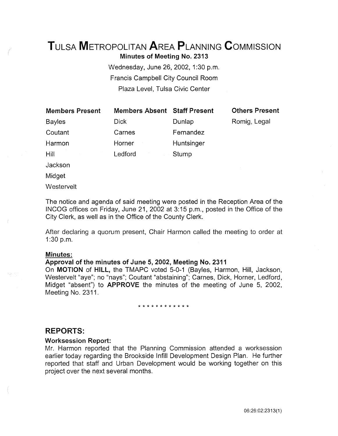# TuLsA METROPOLITAN AREA PLANNING CoMMISSION

Minutes of Meeting No. 2313

Wednesday, June 26, 2002, 1:30 p.m. Francis Campbell City Council Room Plaza Level, Tulsa Civic Center

Members Absent Staff Present

| <b>Members Present</b> |  |
|------------------------|--|
| Bayles                 |  |

Coutant

Harmon

Dick Carnes Horner Ledford Dunlap Fernandez **Huntsinger** Stump

Others Present

Romig, Legal

Jackson

Hill

Midget

**Westervelt** 

The notice and agenda of said meeting were posted in the Reception Area of the INCOG offices on Friday, June 21, 2002 at 3:15 p.m., posted in the Office of the City Clerk, as well as in the Office of the County Clerk.

After declaring a quorum present, Chair Harmon called the meeting to order at 1:30 p.m.

## Minutes:

## Approval of the minutes of June 5, 2002, Meeting No. 2311

On MOTION of HILL, the TMAPC voted 5-0-1 (Bayles, Harmon, Hill, Jackson, Westervelt "aye"; no "nays"; Coutant "abstaining"; Carnes, Dick, Horner, Ledford, Midget "absent") to APPROVE the minutes of the meeting of June 5, 2002, Meeting No. 2311.

#### \* \* \* \* \* \* \* \* \* \* \* \*

## REPORTS:

## Worksession Report:

Mr. Harmon reported that the Planning Commission attended a worksession earlier today regarding the Brookside lnfill Development Design Plan. He further reported that staff and Urban Development would be working together on this project over the next several months.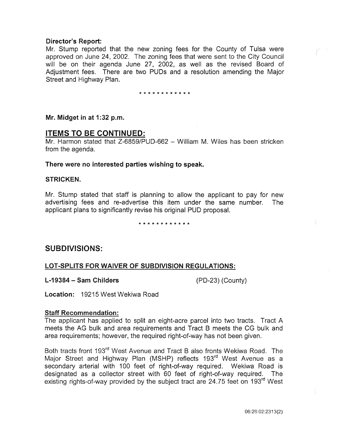## Director's Report:

Mr. Stump reported that the new zoning fees for the County of Tulsa were approved on June 24, 2002. The zoning fees that were sent to the City Council will be on their agenda June 27, 2002, as well as the revised Board of Adjustment fees. There are two PUDs and a resolution amending the Major Street and Highway Plan.

\* \* \* \* \* \* \* \* \* \* \* \*

Mr. Midget in at 1:32 p.m.

## ITEMS TO BE CONTINUED:

Mr. Harmon stated that Z-6859/PUD-662 - William M. Wiles has been stricken from the agenda.

There were no interested parties wishing to speak.

#### STRICKEN.

Mr. Stump stated that staff is planning to allow the applicant to pay for new advertising fees and re-advertise this item under the same number. The applicant plans to significantly revise his original PUD proposal.

#### \*\*\*\*\*\*\*\*\*\*\*\*

## SUBDIVISIONS:

## LOT-SPLITS FOR WAIVER OF SUBDIVISION REGULATIONS:

L-19384- Sam Childers (PD-23) (County)

Location: 19215 West Wekiwa Road

#### Staff Recommendation:

The applicant has applied to split an eight-acre parcel into two tracts. Tract A meets the AG bulk and area requirements and Tract B meets the CG bulk and area requirements; however, the required right-of-way has not been given.

Both tracts front 193rd West Avenue and Tract B also fronts Wekiwa Road. The Major Street and Highway Plan (MSHP) reflects 193<sup>rd</sup> West Avenue as a secondary arterial with 100 feet of right-of-way required. Wekiwa Road is designated as a collector street with 60 feet of right-of-way required. The existing rights-of-way provided by the subject tract are 24.75 feet on 193<sup>rd</sup> West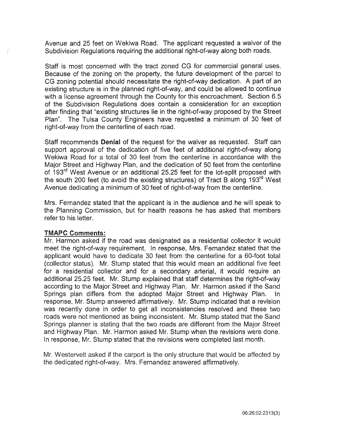Avenue and 25 feet on Wekiwa Road. The applicant requested a waiver of the Subdivision Regulations requiring the additional right-of-way along both roads.

Staff is most concerned with the tract zoned CG for commercial general uses. Because of the zoning on the property, the future development of the parcel to CG zoning potential should necessitate the right-of-way dedication. A part of an existing structure is in the planned right-of-way, and could be allowed to continue with a license agreement through the County for this encroachment. Section 6.5 of the Subdivision Regulations does contain a consideration for an exception after finding that "existing structures lie in the right-of-way proposed by the Street Plan". The Tulsa County Engineers have requested a minimum of 30 feet of right-of-way from the centerline of each road.

Staff recommends Denial of the request for the waiver as requested. Staff can support approval of the dedication of five feet of additional right-of-way along Wekiwa Road for a total of 30 feet from the centerline in accordance with the Major Street and Highway Plan, and the dedication of 50 feet from the centerline of 193<sup>rd</sup> West Avenue or an additional 25.25 feet for the lot-split proposed with the south 200 feet (to avoid the existing structures) of Tract B along 193<sup>rd</sup> West Avenue dedicating a minimum of 30 feet of right-of-way from the centerline.

Mrs. Fernandez stated that the applicant is in the audience and he will speak to the Planning Commission, but for health reasons he has asked that members refer to his letter.

## TMAPC Comments:

Mr. Harmon asked if the road was designated as a residential collector it would meet the right-of-way requirement. In response; Mrs. Fernandez stated that the applicant would have to dedicate 30 feet from the centerline for a 60-foot total (collector status). Mr. Stump stated that this would mean an additional five feet for a residential collector and for a secondary arterial, it would require an additional 25.25 feet. Mr. Stump explained that staff determines the right-of-way according to the Major Street and Highway Plan. Mr. Harmon asked if the Sand Springs plan differs from the adopted Major Street and Highway Plan. In response, Mr. Stump answered affirmatively. Mr. Stump indicated that a revision was recently done in order to get all inconsistencies resolved and these two roads were not mentioned as being inconsistent. Mr. Stump stated that the Sand Springs planner is stating that the two roads are different from the Major Street and Highway Plan. Mr. Harmon asked Mr. Stump when the revisions were done. In response, Mr. Stump stated that the revisions were completed last month.

Mr. Westervelt asked if the carport is the only structure that would be affected by the dedicated right-of-way. Mrs. Fernandez answered affirmatively.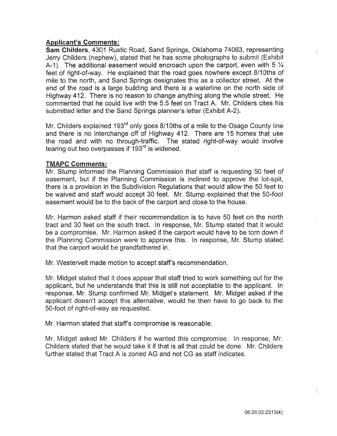## Applicant's Comments:

Sam Childers, 4301 Rustic Road, Sand Springs, Oklahoma 74063, representing Jerry Childers (nephew), stated that he has some photographs to submit (Exhibit A-1). The additional easement would encroach upon the carport, even with 5  $\frac{1}{4}$ feet of right-of-way. He explained that the road goes nowhere except 8/10ths of mile to the north, and Sand Springs designates this as a collector street. At the end of the road is a large building and there is a waterline on the north side of Highway 412. There is no reason to change anything along the whole street. He commented that he could live with the 5.5 feet on Tract A. Mr. Childers cites his submitted letter and the Sand Springs planner's letter (Exhibit A-2).

Mr. Childers explained 193<sup>rd</sup> only goes 8/10ths of a mile to the Osage County line and there is no interchange off of Highway 412. There are 15 homes that use the road and with no through-traffic. The stated right-of-way would involve tearing out two overpasses if  $193<sup>rd</sup>$  is widened.

## TMAPC Comments:

Mr. Stump informed the Planning Commission that staff is requesting 50 feet of easement, but if the Planning Commission is inclined to approve the lot-spit, there is a provision in the Subdivision Regulations that would allow the 50 feet to be waived and staff would accept 30 feet. Mr. Stump explained that the 50-foot easement would be to the back of the carport and close to the house.

Mr. Harmon asked staff if their recommendation is to have 50 feet on the north tract and 30 feet on the south tract. In response, Mr. Stump stated that it would be a compromise. Mr. Harmon asked if the carport would have to be torn down if the Planning Commission were to approve this. In response, Mr. Stump stated that the carport would be grandfathered in.

Mr. Westervelt made motion to accept staff's recommendation.

Mr. Midget stated that it does appear that staff tried to work something out for the applicant, but he understands that this is still not acceptable to the applicant. In response, Mr. Stump confirmed Mr. Midget's statement. Mr. Midget asked if the applicant doesn't accept this alternative, would he then have to go back to the 50-foot of right-of-way as requested.

Mr. Harmon stated that staff's compromise is reasonable.

Mr. Midget asked Mr. Childers if he wanted this compromise. In response, Mr. Childers stated that he would take it if that is all that could be done. Mr. Childers further stated that Tract A is zoned AG and not CG as staff indicates.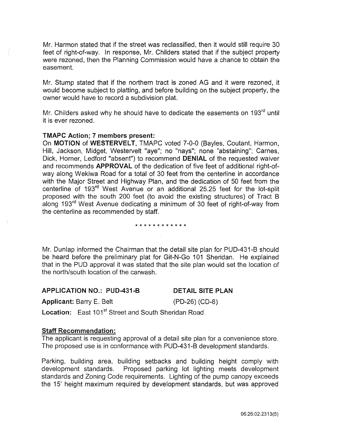Mr. Harmon stated that if the street was reclassified, then it would still require 30 feet of right-of-way. In response, Mr. Childers stated that if the subject property were rezoned, then the Planning Commission would have a chance to obtain the easement.

Mr. Stump stated that if the northern tract is zoned AG and it were rezoned, it would become subject to platting, and before building on the subject property, the owner would have to record a subdivision plat.

Mr. Childers asked why he should have to dedicate the easements on 193<sup>rd</sup> until it is ever rezoned.

#### TMAPC Action; 7 members present:

On MOTION of WESTERVELT, TMAPC voted 7-0-0 (Bayles, Coutant, Harmon, Hill, Jackson, Midget, Westervelt "aye"; no "nays"; none "abstaining"; Carnes, Dick, Horner, Ledford "absent") to recommend DENIAL of the requested waiver and recommends APPROVAL of the dedication of five feet of additional right-ofway along Wekiwa Road for a total of 30 feet from the centerline in accordance with the Major Street and Highway Plan, and the dedication of 50 feet from the centerline of 193rd West Avenue or an additional 25.25 feet for the lot-split proposed with the south 200 feet (to avoid the existing structures) of Tract B along 193<sup>rd</sup> West Avenue dedicating a minimum of 30 feet of right-of-way from the centerline as recommended by staff.

#### \* \* \* \* \* \* \* \* \* \* \* \*

Mr. Dunlap informed the Chairman that the detail site plan for PUD-431-B should be heard before the preliminary plat for Git-N-Go 101 Sheridan. He explained that in the PUD approval it was stated that the site plan would set the location of the north/south location of the carwash.

#### APPLICATION NO.: PUD-431-B

## DETAIL SITE PLAN

Applicant: Barry E. Belt

(PD-26) (CD-8)

Location: East 101<sup>st</sup> Street and South Sheridan Road

#### Staff Recommendation:

The applicant is requesting approval of a detail site plan for a convenience store. The proposed use is in conformance with PUD-431-B development standards.

Parking, building area, building setbacks and building height comply with development standards. Proposed parking lot lighting meets development standards and Zoning Code requirements. Lighting of the pump canopy exceeds the 15' height maximum required by development standards, but was approved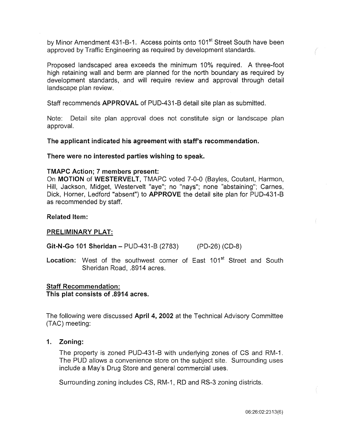by Minor Amendment 431-B-1. Access points onto 101<sup>st</sup> Street South have been approved by Traffic Engineering as required by development standards.

Proposed landscaped area exceeds the minimum 10% required. A three-foot high retaining wall and berm are planned for the north boundary as required by development standards, and will require review and approval through detail landscape plan review.

Staff recommends APPROVAL of PUD-431-B detail site plan as submitted.

Note: Detail site plan approval does not constitute sign or landscape plan approval.

The applicant indicated his agreement with staff's recommendation.

There were no interested parties wishing to speak.

#### TMAPC Action; 7 members present:

On MOTION of WESTERVELT, TMAPC voted 7-0-0 (Bayles, Coutant, Harmon, Hill, Jackson, Midget, Westervelt "aye"; no "nays"; none "abstaining"; Carnes, Dick, Horner, Ledford "absent") to APPROVE the detail site plan for PUD-431-B as recommended by staff.

## Related Item:

#### PRELIMINARY PLAT:

Git-N-Go 101 Sheridan- PUD-431-B (2783) (PD-26) (CD-8)

Location: West of the southwest corner of East 101<sup>st</sup> Street and South Sheridan Road, .8914 acres.

#### Staff Recommendation:

This plat consists of .8914 acres.

The following were discussed April 4, 2002 at the Technical Advisory Committee (TAC) meeting:

#### 1. Zoning:

The property is zoned PUD-431-B with underlying zones of CS and RM-1. The PUD allows a convenience store on the subject site. Surrounding uses include a May's Drug Store and general commercial uses.

Surrounding zoning includes CS, RM-1, RD and RS-3 zoning districts.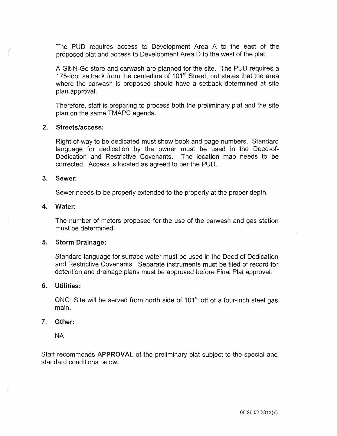The PUD requires access to Development Area A to the east of the proposed plat and access to Development Area D to the west of the plat.

A Git-N-Go store and carwash are planned for the site. The PUD requires a 175-foot setback from the centerline of 101<sup>st</sup> Street, but states that the area where the carwash is proposed should have a setback determined at site plan approval.

Therefore, staff is preparing to process both the preliminary plat and the site plan on the same TMAPC agenda.

#### 2. Streets/access:

Right-of-way to be dedicated must show book and page numbers. Standard language for dedication by the owner must be used in the Deed-of-Dedication and Restrictive Covenants. The location map needs to be corrected. Access is located as agreed to per the PUD.

#### 3. Sewer:

Sewer needs to be properly extended to the property at the proper depth.

#### 4. Water:

The number of meters proposed for the use of the carwash and gas station must be determined.

#### 5. Storm Drainage:

Standard language for surface water must be used in the Deed of Dedication and Restrictive Covenants. Separate instruments must be filed of record for detention and drainage plans must be approved before Final Plat approval.

## 6. Utilities:

ONG: Site will be served from north side of 101<sup>st</sup> off of a four-inch steel gas main.

#### 7. Other:

NA

Staff recommends APPROVAL of the preliminary plat subject to the special and standard conditions below.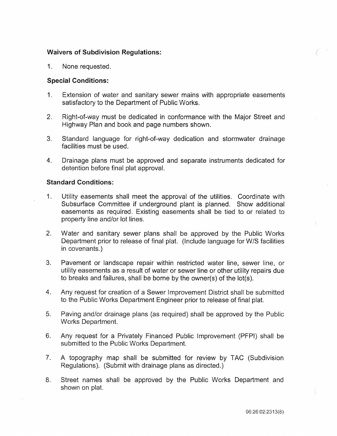## Waivers of **Subdivision Regulations:**

1. None requested.

## **Special Conditions:**

- 1. Extension of water and sanitary sewer mains with appropriate easements satisfactory to the Department of Public Works.
- 2. Right-of-way must be dedicated in conformance with the Major Street and Highway Plan and book and page numbers shown.
- 3. Standard language for right-of-way dedication and stormwater drainage facilities must be used.
- 4. Drainage plans must be approved and separate instruments dedicated for detention before final plat approval.

## **Standard Conditions:**

- 1. Utility easements shall meet the approval of the utilities. Coordinate with Subsurface Committee if underground plant is planned. Show additional easements as required. Existing easements shall be tied to or related to property line and/or lot lines.
- 2. Water and sanitary sewer plans shall be approved by the Public Works Department prior to release of final plat. (Include language for W/S facilities in covenants.)
- 3. Pavement or landscape repair within restricted water line, sewer line, or utility easements as a result of water or sewer line or other utility repairs due to breaks and failures, shall be borne by the owner(s) of the lot(s).
- 4. Any request for creation of a Sewer Improvement District shall be submitted to the Public Works Department Engineer prior to release of final plat.
- 5. Paving and/or drainage plans (as required) shall be approved by the Public Works Department.
- 6. Any request for a Privately Financed Public Improvement (PFPI) shall be submitted to the Public Works Department.
- 7. A topography map shall be submitted for review by TAG (Subdivision Regulations). (Submit with drainage plans as directed.)
- 8. Street names shall be approved by the Public Works Department and shown on plat.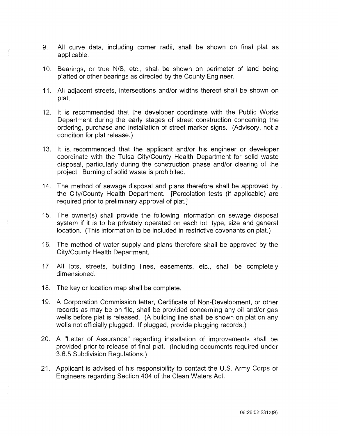- 9. All curve data, including corner radii, shall be shown on final plat as applicable.
- 10. Bearings, or true N/S, etc., shall be shown on perimeter of land being platted or other bearings as directed by the County Engineer.
- 11. All adjacent streets, intersections and/or widths thereof shall be shown on plat.
- 12. It is recommended that the developer coordinate with the Public Works Department during the early stages of street construction concerning the ordering, purchase and installation of street marker signs. (Advisory, not a condition for plat release.)
- 13. It is recommended that the applicant and/or his engineer or developer coordinate with the Tulsa City/County Health Department for solid waste disposal, particularly during the construction phase and/or clearing of the project. Burning of solid waste is prohibited.
- 14. The method of sewage disposal and plans therefore shall be approved by the City/County Health Department. [Percolation tests (if applicable) are required prior to preliminary approval of plat.]
- 15. The owner(s) shall provide the following information on sewage disposal system if it is to be privately operated on each lot: type, size and general location. (This information to be included in restrictive covenants on plat.)
- 16. The method of water supply and plans therefore shall be approved by the City/County Heaith Department.
- 17. All lots, streets, building lines, easements, etc., shall be completely dimensioned.
- 18. The key or location map shall be complete.
- 19. A Corporation Commission letter, Certificate of Non-Development, or other records as may be on file, shall be provided concerning any oil and/or gas wells before plat is released. (A building line shall be shown on plat on any wells not officially plugged. If plugged, provide plugging records.)
- 20. A "Letter of Assurance" regarding installation of improvements shall be provided prior to release of final plat. (Including documents required under ·3.6.5 Subdivision Regulations.)
- 21. Applicant is advised of his responsibility to contact the U.S. Army Corps of Engineers regarding Section 404 of the Clean Waters Act.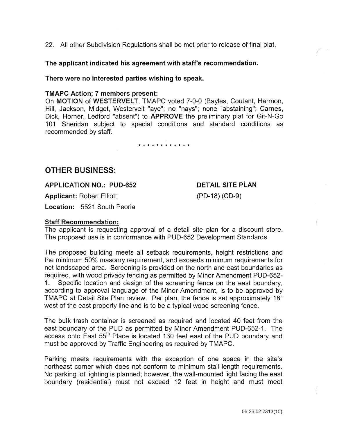22. All other Subdivision Regulations shall be met prior to release of final plat.

The applicant indicated his agreement with staff's recommendation.

There were no interested parties wishing to speak.

## TMAPC Action; 7 members present:

On MOTION of WESTERVELT, TMAPC voted 7-0-0 (Bayles, Coutant, Harmon, Hill, Jackson, Midget, Westervelt "aye"; no "nays"; none "abstaining"; Carnes, Dick, Horner, Ledford "absent") to APPROVE the preliminary plat for Git-N-Go 101 Sheridan subject to special conditions and standard conditions as recommended by staff.

\* \* \* \* \* \* \* \* \* \* \* \*

# OTHER BUSINESS:

APPLICATION NO.: PUD-652

Applicant: Robert Elliott

# DETAIL SITE PLAN (PD-18) (CD-9)

Location: 5521 South Peoria

## Staff Recommendation:

The applicant is requesting approval of a detail site plan for a discount store. The proposed use is in conformance with PUD-652 Development Standards.

The proposed building meets all setback requirements, height restrictions and the minimum 50% masonry requirement, and exceeds minimum requirements for net landscaped area. Screening is provided on the north and east boundaries as required, with wood privacy fencing as permitted by Minor Amendment PUD-652- 1. Specific location and design of the screening fence on the east boundary, according to approval language of the Minor Amendment, is to be approved by TMAPC at Detail Site Plan review. Per plan, the fence is set approximately 18" west of the east property line and is to be a typical wood screening fence.

The bulk trash container is screened as required and located 40 feet from the east boundary of the PUD as permitted by Minor Amendment PUD-652-1. The access onto East 55<sup>th</sup> Place is located 130 feet east of the PUD boundary and must be approved by Traffic Engineering as required by TMAPC.

Parking meets requirements with the exception of one space in the site's northeast corner which does not conform to minimum stall length requirements. No parking lot lighting is planned; however, the wall-mounted light facing the east boundary (residential) must not exceed 12 feet in height and must meet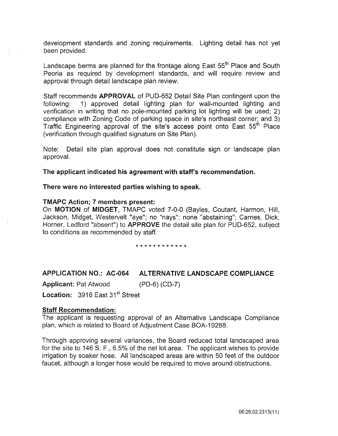development standards and zoning requirements. Lighting detail has not yet been provided.

Landscape berms are planned for the frontage along East  $55<sup>th</sup>$  Place and South Peoria as required by development standards, and will require review and approval through detail landscape plan review.

Staff recommends APPROVAL of PUD-652 Detail Site Plan contingent upon the following: 1) approved detail lighting plan for wall-mounted lighting and verification in writing that no pole-mounted parking lot lighting will be used; 2) compliance with Zoning Code of parking space in site's northeast corner; and 3) Traffic Engineering approval of the site's access point onto East 55<sup>th</sup> Place (verification through qualified signature on Site Plan).

Note: Detail site plan approval does not constitute sign or landscape plan approval.

The applicant indicated his agreement with staff's recommendation.

There were no interested parties wishing to speak.

## TMAPC Action; 7 members present:

On MOTION of MIDGET, TMAPC voted 7-0-0 (Bayles, Coutant, Harmon, Hill, Jackson, Midget, Westervelt "aye"; no "nays"; none "abstaining"; Carnes, Dick, Horner, Ledford "absent") to APPROVE the detail site plan for PUD-652, subject to conditions as recommended by staff.

\*\*\*\*\*\*\*\*\*\*\*\*

## APPLICATION NO.: AC-064 ALTERNATIVE LANDSCAPE COMPLIANCE

Applicant: Pat Atwood (PD-6) (CD-7)

Location: 3916 East 31<sup>st</sup> Street

#### Staff Recommendation:

The applicant is requesting approval of an Alternative Landscape Compliance plan, which is related to Board of Adjustment Case BOA-19288.

Through approving several variances, the Board reduced total landscaped area for the site to 146 S. F., 6.5% of the net lot area. The applicant wishes to provide irrigation by soaker hose. All landscaped areas are within 50 feet of the outdoor faucet, although a longer hose would be required to move around obstructions.